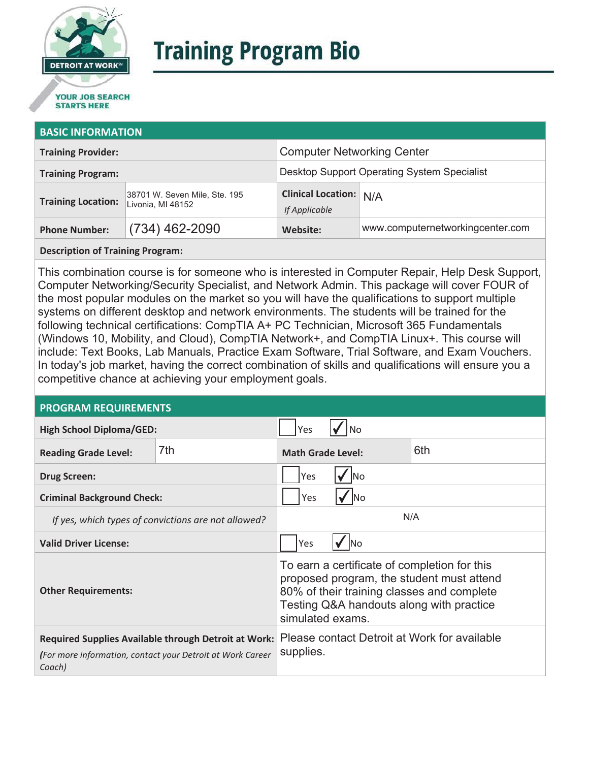

# **Training Program Bio**

## **STARTS HERE**

#### **BASIC INFORMATION**

| <b>Training Provider:</b> |                                                    | <b>Computer Networking Center</b>              |                                  |  |
|---------------------------|----------------------------------------------------|------------------------------------------------|----------------------------------|--|
| <b>Training Program:</b>  |                                                    | Desktop Support Operating System Specialist    |                                  |  |
| <b>Training Location:</b> | 38701 W. Seven Mile, Ste. 195<br>Livonia, MI 48152 | <b>Clinical Location:</b> N/A<br>If Applicable |                                  |  |
| <b>Phone Number:</b>      | $(734)$ 462-2090                                   | Website:                                       | www.computernetworkingcenter.com |  |

#### **Description of Training Program:**

This combination course is for someone who is interested in Computer Repair, Help Desk Support, Computer Networking/Security Specialist, and Network Admin. This package will cover FOUR of the most popular modules on the market so you will have the qualifications to support multiple systems on different desktop and network environments. The students will be trained for the following technical certifications: CompTIA A+ PC Technician, Microsoft 365 Fundamentals (Windows 10, Mobility, and Cloud), CompTIA Network+, and CompTIA Linux+. This course will include: Text Books, Lab Manuals, Practice Exam Software, Trial Software, and Exam Vouchers. In today's job market, having the correct combination of skills and qualifications will ensure you a competitive chance at achieving your employment goals.

#### **PROGRAM REQUIREMENTS**

| <b>High School Diploma/GED:</b>                                                                                              |                   | Yes                                                                                                                                                                                                     |  |  |
|------------------------------------------------------------------------------------------------------------------------------|-------------------|---------------------------------------------------------------------------------------------------------------------------------------------------------------------------------------------------------|--|--|
| <b>Reading Grade Level:</b>                                                                                                  | 7th               | 6th<br><b>Math Grade Level:</b>                                                                                                                                                                         |  |  |
| <b>Drug Screen:</b>                                                                                                          | Yes               |                                                                                                                                                                                                         |  |  |
| <b>Criminal Background Check:</b>                                                                                            | Yes<br><b>INo</b> |                                                                                                                                                                                                         |  |  |
| If yes, which types of convictions are not allowed?                                                                          |                   | N/A                                                                                                                                                                                                     |  |  |
| <b>Valid Driver License:</b>                                                                                                 |                   | <b>No</b><br>Yes                                                                                                                                                                                        |  |  |
| <b>Other Requirements:</b>                                                                                                   |                   | To earn a certificate of completion for this<br>proposed program, the student must attend<br>80% of their training classes and complete<br>Testing Q&A handouts along with practice<br>simulated exams. |  |  |
| Required Supplies Available through Detroit at Work:<br>(For more information, contact your Detroit at Work Career<br>Coach) |                   | Please contact Detroit at Work for available<br>supplies.                                                                                                                                               |  |  |